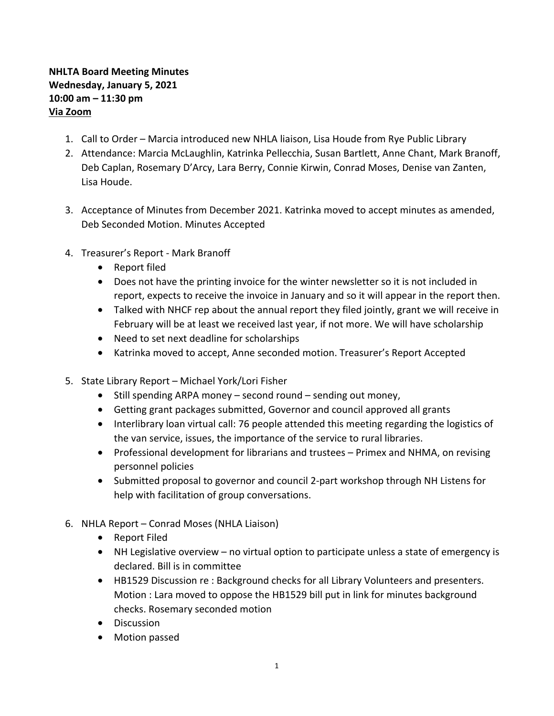## **NHLTA Board Meeting Minutes Wednesday, January 5, 2021 10:00 am – 11:30 pm Via Zoom**

- 1. Call to Order Marcia introduced new NHLA liaison, Lisa Houde from Rye Public Library
- 2. Attendance: Marcia McLaughlin, Katrinka Pellecchia, Susan Bartlett, Anne Chant, Mark Branoff, Deb Caplan, Rosemary D'Arcy, Lara Berry, Connie Kirwin, Conrad Moses, Denise van Zanten, Lisa Houde.
- 3. Acceptance of Minutes from December 2021. Katrinka moved to accept minutes as amended, Deb Seconded Motion. Minutes Accepted
- 4. Treasurer's Report Mark Branoff
	- Report filed
	- Does not have the printing invoice for the winter newsletter so it is not included in report, expects to receive the invoice in January and so it will appear in the report then.
	- Talked with NHCF rep about the annual report they filed jointly, grant we will receive in February will be at least we received last year, if not more. We will have scholarship
	- Need to set next deadline for scholarships
	- Katrinka moved to accept, Anne seconded motion. Treasurer's Report Accepted
- 5. State Library Report Michael York/Lori Fisher
	- Still spending ARPA money second round sending out money,
	- Getting grant packages submitted, Governor and council approved all grants
	- Interlibrary loan virtual call: 76 people attended this meeting regarding the logistics of the van service, issues, the importance of the service to rural libraries.
	- Professional development for librarians and trustees Primex and NHMA, on revising personnel policies
	- Submitted proposal to governor and council 2-part workshop through NH Listens for help with facilitation of group conversations.
- 6. NHLA Report Conrad Moses (NHLA Liaison)
	- Report Filed
	- NH Legislative overview no virtual option to participate unless a state of emergency is declared. Bill is in committee
	- HB1529 Discussion re : Background checks for all Library Volunteers and presenters. Motion : Lara moved to oppose the HB1529 bill put in link for minutes background checks. Rosemary seconded motion
	- Discussion
	- Motion passed